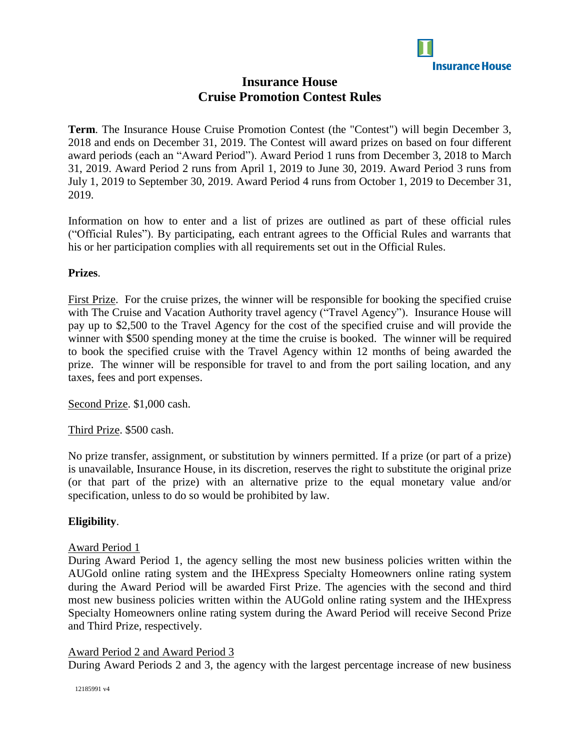

# **Insurance House Cruise Promotion Contest Rules**

**Term**. The Insurance House Cruise Promotion Contest (the "Contest") will begin December 3, 2018 and ends on December 31, 2019. The Contest will award prizes on based on four different award periods (each an "Award Period"). Award Period 1 runs from December 3, 2018 to March 31, 2019. Award Period 2 runs from April 1, 2019 to June 30, 2019. Award Period 3 runs from July 1, 2019 to September 30, 2019. Award Period 4 runs from October 1, 2019 to December 31, 2019.

Information on how to enter and a list of prizes are outlined as part of these official rules ("Official Rules"). By participating, each entrant agrees to the Official Rules and warrants that his or her participation complies with all requirements set out in the Official Rules.

## **Prizes**.

First Prize. For the cruise prizes, the winner will be responsible for booking the specified cruise with The Cruise and Vacation Authority travel agency ("Travel Agency"). Insurance House will pay up to \$2,500 to the Travel Agency for the cost of the specified cruise and will provide the winner with \$500 spending money at the time the cruise is booked. The winner will be required to book the specified cruise with the Travel Agency within 12 months of being awarded the prize. The winner will be responsible for travel to and from the port sailing location, and any taxes, fees and port expenses.

Second Prize. \$1,000 cash.

Third Prize. \$500 cash.

No prize transfer, assignment, or substitution by winners permitted. If a prize (or part of a prize) is unavailable, Insurance House, in its discretion, reserves the right to substitute the original prize (or that part of the prize) with an alternative prize to the equal monetary value and/or specification, unless to do so would be prohibited by law.

# **Eligibility**.

### Award Period 1

During Award Period 1, the agency selling the most new business policies written within the AUGold online rating system and the IHExpress Specialty Homeowners online rating system during the Award Period will be awarded First Prize. The agencies with the second and third most new business policies written within the AUGold online rating system and the IHExpress Specialty Homeowners online rating system during the Award Period will receive Second Prize and Third Prize, respectively.

### Award Period 2 and Award Period 3

During Award Periods 2 and 3, the agency with the largest percentage increase of new business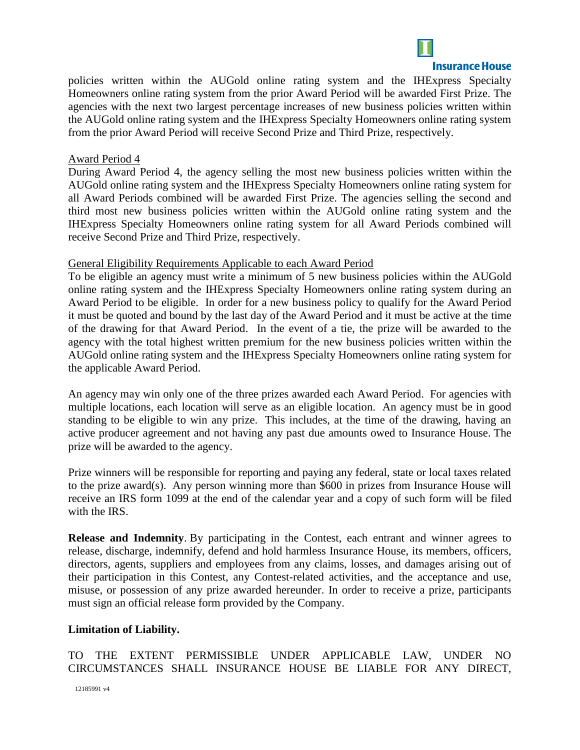

policies written within the AUGold online rating system and the IHExpress Specialty Homeowners online rating system from the prior Award Period will be awarded First Prize. The agencies with the next two largest percentage increases of new business policies written within the AUGold online rating system and the IHExpress Specialty Homeowners online rating system from the prior Award Period will receive Second Prize and Third Prize, respectively.

#### Award Period 4

During Award Period 4, the agency selling the most new business policies written within the AUGold online rating system and the IHExpress Specialty Homeowners online rating system for all Award Periods combined will be awarded First Prize. The agencies selling the second and third most new business policies written within the AUGold online rating system and the IHExpress Specialty Homeowners online rating system for all Award Periods combined will receive Second Prize and Third Prize, respectively.

#### General Eligibility Requirements Applicable to each Award Period

To be eligible an agency must write a minimum of 5 new business policies within the AUGold online rating system and the IHExpress Specialty Homeowners online rating system during an Award Period to be eligible. In order for a new business policy to qualify for the Award Period it must be quoted and bound by the last day of the Award Period and it must be active at the time of the drawing for that Award Period. In the event of a tie, the prize will be awarded to the agency with the total highest written premium for the new business policies written within the AUGold online rating system and the IHExpress Specialty Homeowners online rating system for the applicable Award Period.

An agency may win only one of the three prizes awarded each Award Period. For agencies with multiple locations, each location will serve as an eligible location. An agency must be in good standing to be eligible to win any prize. This includes, at the time of the drawing, having an active producer agreement and not having any past due amounts owed to Insurance House. The prize will be awarded to the agency.

Prize winners will be responsible for reporting and paying any federal, state or local taxes related to the prize award(s). Any person winning more than \$600 in prizes from Insurance House will receive an IRS form 1099 at the end of the calendar year and a copy of such form will be filed with the IRS.

**Release and Indemnity**. By participating in the Contest, each entrant and winner agrees to release, discharge, indemnify, defend and hold harmless Insurance House, its members, officers, directors, agents, suppliers and employees from any claims, losses, and damages arising out of their participation in this Contest, any Contest-related activities, and the acceptance and use, misuse, or possession of any prize awarded hereunder. In order to receive a prize, participants must sign an official release form provided by the Company.

### **Limitation of Liability.**

TO THE EXTENT PERMISSIBLE UNDER APPLICABLE LAW, UNDER NO CIRCUMSTANCES SHALL INSURANCE HOUSE BE LIABLE FOR ANY DIRECT,